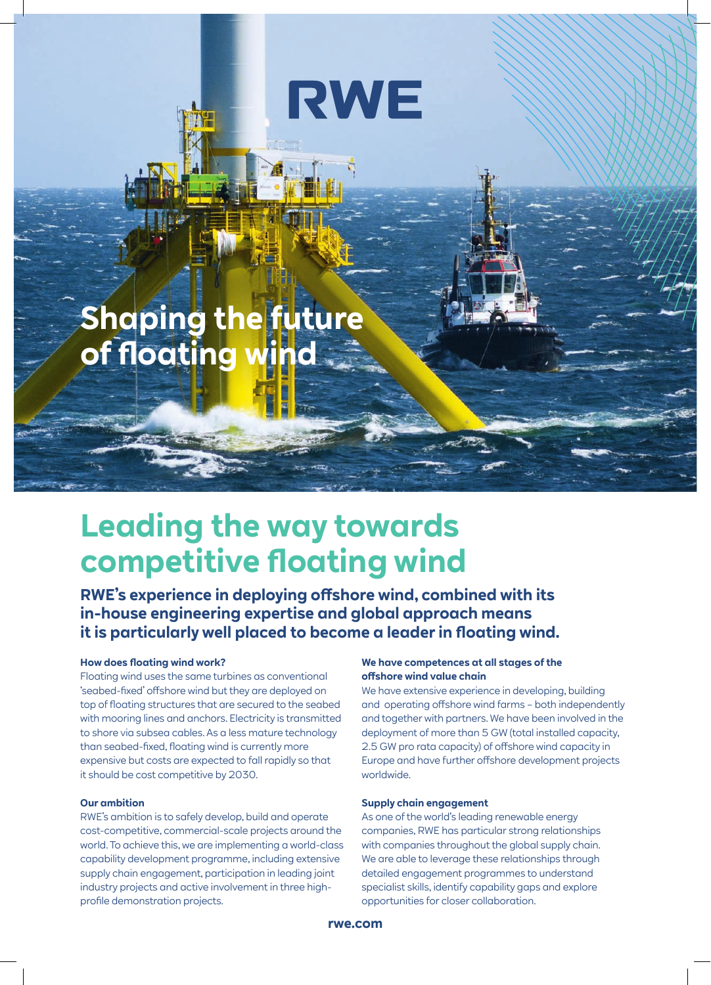# **RWE**

## **Shaping the future of floating win**

### **Leading the way towards competitive floating wind**

**RWE's experience in deploying offshore wind, combined with its in-house engineering expertise and global approach means it is particularly well placed to become a leader in floating wind.**

#### **How does floating wind work?**

Floating wind uses the same turbines as conventional 'seabed-fixed' offshore wind but they are deployed on top of floating structures that are secured to the seabed with mooring lines and anchors. Electricity is transmitted to shore via subsea cables. As a less mature technology than seabed-fixed, floating wind is currently more expensive but costs are expected to fall rapidly so that it should be cost competitive by 2030.

#### **Our ambition**

RWE's ambition is to safely develop, build and operate cost-competitive, commercial-scale projects around the world. To achieve this, we are implementing a world-class capability development programme, including extensive supply chain engagement, participation in leading joint industry projects and active involvement in three highprofile demonstration projects.

#### **We have competences at all stages of the offshore wind value chain**

We have extensive experience in developing, building and operating offshore wind farms – both independently and together with partners. We have been involved in the deployment of more than 5 GW (total installed capacity, 2.5 GW pro rata capacity) of offshore wind capacity in Europe and have further offshore development projects worldwide.

#### **Supply chain engagement**

As one of the world's leading renewable energy companies, RWE has particular strong relationships with companies throughout the global supply chain. We are able to leverage these relationships through detailed engagement programmes to understand specialist skills, identify capability gaps and explore opportunities for closer collaboration.